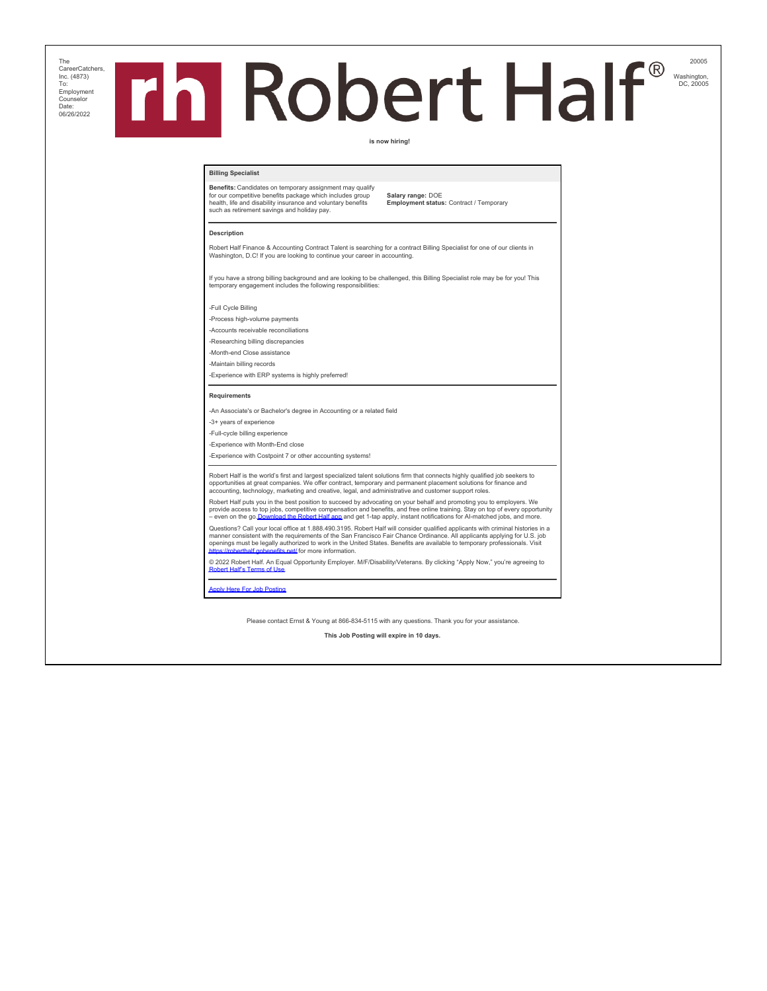The CareerCatchers, Inc. (4873) To: Employment Counselor Date: Date.<br>06/26/2022

# 20005 **h** Robert Half® Washington, DC, 20005

## **is now hiring!**

## **Billing Specialist**

**Benefits:** Candidates on temporary assignment may qualify for our competitive benefits package which includes group health, life and disability insurance and voluntary benefits such as retirement savings and holiday pay.

**Salary range:** DOE **Employment status:** Contract / Temporary

### **Description**

Robert Half Finance & Accounting Contract Talent is searching for a contract Billing Specialist for one of our clients in Washington, D.C! If you are looking to continue your career in accounting.

If you have a strong billing background and are looking to be challenged, this Billing Specialist role may be for you! This temporary engagement includes the following responsibilities:

-Full Cycle Billing

-Process high-volume payments

-Accounts receivable reconciliations

-Researching billing discrepancies

-Month-end Close assistance -Maintain billing records

-Experience with ERP systems is highly preferred!

#### **Requirements**

-An Associate's or Bachelor's degree in Accounting or a related field

-3+ years of experience

-Full-cycle billing experience -Experience with Month-End close

-Experience with Costpoint 7 or other accounting systems!

Robert Half is the world's first and largest specialized talent solutions firm that connects highly qualified job seekers to<br>opportunities at great companies. We offer contract, temporary and permanent placement solutions

Robert Half puts you in the best position to succeed by advocating on your behalf and promoting you to employers. We<br>provide access to top jobs, competitive compensation and benefits, and free online training. Stay on top

Questions? Call your local office at 1.888.490.3195. Robert Half will consider qualified applicants with criminal histories in a<br>manner consistent with the requirements of the San Francisco Fair Chance Ordinance. All appli https://roberthalf.gov.htm<br>https://roberthalf.gov.htm

© 2022 Robert Half. An Equal Opportunity Employer. M/F/Disability/Veterans. By clicking "Apply Now," you're agreeing to [Robert Half's Terms of Use](https://www.roberthalf.com/terms-of-use).

[Apply Here For Job Posting](https://www.roberthalf.com/job/washington-dc/billing-specialist/04510-9503349412-usen?utm_source=EY&utm_medium=referral&utm_campaign=talent_outreach)

Please contact Ernst & Young at 866-834-5115 with any questions. Thank you for your assistance.

**This Job Posting will expire in 10 days.**